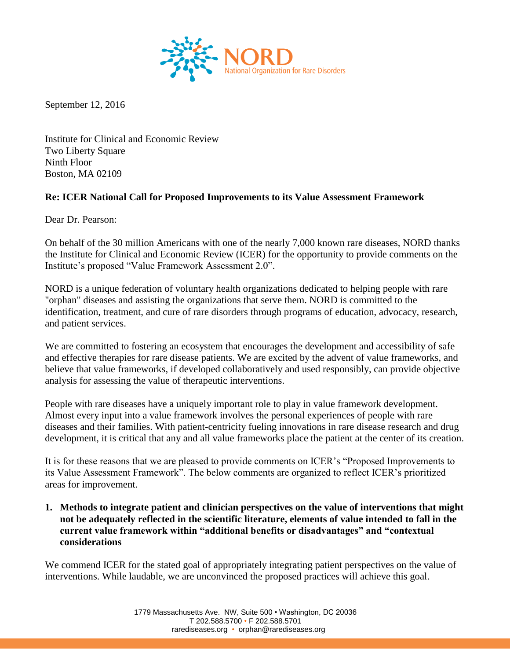

September 12, 2016

Institute for Clinical and Economic Review Two Liberty Square Ninth Floor Boston, MA 02109

## **Re: ICER National Call for Proposed Improvements to its Value Assessment Framework**

Dear Dr. Pearson:

On behalf of the 30 million Americans with one of the nearly 7,000 known rare diseases, NORD thanks the Institute for Clinical and Economic Review (ICER) for the opportunity to provide comments on the Institute's proposed "Value Framework Assessment 2.0".

NORD is a unique federation of voluntary health organizations dedicated to helping people with rare "orphan" diseases and assisting the organizations that serve them. NORD is committed to the identification, treatment, and cure of rare disorders through programs of education, advocacy, research, and patient services.

We are committed to fostering an ecosystem that encourages the development and accessibility of safe and effective therapies for rare disease patients. We are excited by the advent of value frameworks, and believe that value frameworks, if developed collaboratively and used responsibly, can provide objective analysis for assessing the value of therapeutic interventions.

People with rare diseases have a uniquely important role to play in value framework development. Almost every input into a value framework involves the personal experiences of people with rare diseases and their families. With patient-centricity fueling innovations in rare disease research and drug development, it is critical that any and all value frameworks place the patient at the center of its creation.

It is for these reasons that we are pleased to provide comments on ICER's "Proposed Improvements to its Value Assessment Framework". The below comments are organized to reflect ICER's prioritized areas for improvement.

**1. Methods to integrate patient and clinician perspectives on the value of interventions that might not be adequately reflected in the scientific literature, elements of value intended to fall in the current value framework within "additional benefits or disadvantages" and "contextual considerations** 

We commend ICER for the stated goal of appropriately integrating patient perspectives on the value of interventions. While laudable, we are unconvinced the proposed practices will achieve this goal.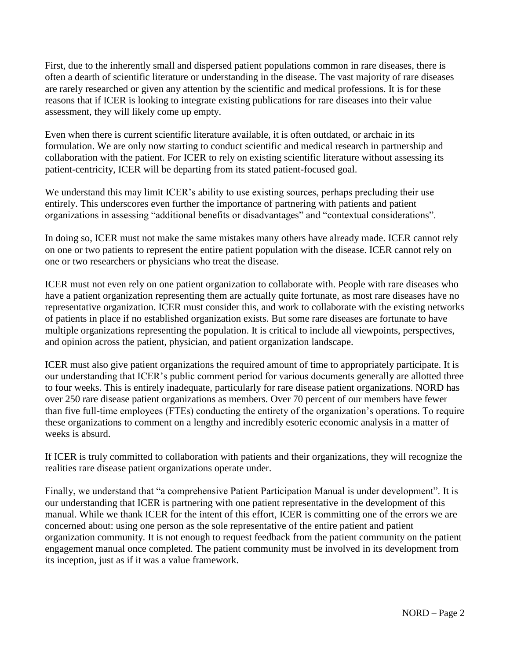First, due to the inherently small and dispersed patient populations common in rare diseases, there is often a dearth of scientific literature or understanding in the disease. The vast majority of rare diseases are rarely researched or given any attention by the scientific and medical professions. It is for these reasons that if ICER is looking to integrate existing publications for rare diseases into their value assessment, they will likely come up empty.

Even when there is current scientific literature available, it is often outdated, or archaic in its formulation. We are only now starting to conduct scientific and medical research in partnership and collaboration with the patient. For ICER to rely on existing scientific literature without assessing its patient-centricity, ICER will be departing from its stated patient-focused goal.

We understand this may limit ICER's ability to use existing sources, perhaps precluding their use entirely. This underscores even further the importance of partnering with patients and patient organizations in assessing "additional benefits or disadvantages" and "contextual considerations".

In doing so, ICER must not make the same mistakes many others have already made. ICER cannot rely on one or two patients to represent the entire patient population with the disease. ICER cannot rely on one or two researchers or physicians who treat the disease.

ICER must not even rely on one patient organization to collaborate with. People with rare diseases who have a patient organization representing them are actually quite fortunate, as most rare diseases have no representative organization. ICER must consider this, and work to collaborate with the existing networks of patients in place if no established organization exists. But some rare diseases are fortunate to have multiple organizations representing the population. It is critical to include all viewpoints, perspectives, and opinion across the patient, physician, and patient organization landscape.

ICER must also give patient organizations the required amount of time to appropriately participate. It is our understanding that ICER's public comment period for various documents generally are allotted three to four weeks. This is entirely inadequate, particularly for rare disease patient organizations. NORD has over 250 rare disease patient organizations as members. Over 70 percent of our members have fewer than five full-time employees (FTEs) conducting the entirety of the organization's operations. To require these organizations to comment on a lengthy and incredibly esoteric economic analysis in a matter of weeks is absurd.

If ICER is truly committed to collaboration with patients and their organizations, they will recognize the realities rare disease patient organizations operate under.

Finally, we understand that "a comprehensive Patient Participation Manual is under development". It is our understanding that ICER is partnering with one patient representative in the development of this manual. While we thank ICER for the intent of this effort, ICER is committing one of the errors we are concerned about: using one person as the sole representative of the entire patient and patient organization community. It is not enough to request feedback from the patient community on the patient engagement manual once completed. The patient community must be involved in its development from its inception, just as if it was a value framework.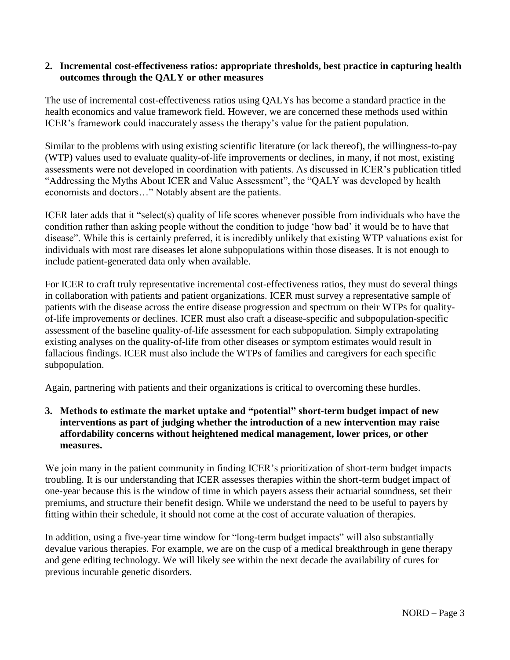## **2. Incremental cost-effectiveness ratios: appropriate thresholds, best practice in capturing health outcomes through the QALY or other measures**

The use of incremental cost-effectiveness ratios using QALYs has become a standard practice in the health economics and value framework field. However, we are concerned these methods used within ICER's framework could inaccurately assess the therapy's value for the patient population.

Similar to the problems with using existing scientific literature (or lack thereof), the willingness-to-pay (WTP) values used to evaluate quality-of-life improvements or declines, in many, if not most, existing assessments were not developed in coordination with patients. As discussed in ICER's publication titled "Addressing the Myths About ICER and Value Assessment", the "QALY was developed by health economists and doctors…" Notably absent are the patients.

ICER later adds that it "select(s) quality of life scores whenever possible from individuals who have the condition rather than asking people without the condition to judge 'how bad' it would be to have that disease". While this is certainly preferred, it is incredibly unlikely that existing WTP valuations exist for individuals with most rare diseases let alone subpopulations within those diseases. It is not enough to include patient-generated data only when available.

For ICER to craft truly representative incremental cost-effectiveness ratios, they must do several things in collaboration with patients and patient organizations. ICER must survey a representative sample of patients with the disease across the entire disease progression and spectrum on their WTPs for qualityof-life improvements or declines. ICER must also craft a disease-specific and subpopulation-specific assessment of the baseline quality-of-life assessment for each subpopulation. Simply extrapolating existing analyses on the quality-of-life from other diseases or symptom estimates would result in fallacious findings. ICER must also include the WTPs of families and caregivers for each specific subpopulation.

Again, partnering with patients and their organizations is critical to overcoming these hurdles.

**3. Methods to estimate the market uptake and "potential" short-term budget impact of new interventions as part of judging whether the introduction of a new intervention may raise affordability concerns without heightened medical management, lower prices, or other measures.**

We join many in the patient community in finding ICER's prioritization of short-term budget impacts troubling. It is our understanding that ICER assesses therapies within the short-term budget impact of one-year because this is the window of time in which payers assess their actuarial soundness, set their premiums, and structure their benefit design. While we understand the need to be useful to payers by fitting within their schedule, it should not come at the cost of accurate valuation of therapies.

In addition, using a five-year time window for "long-term budget impacts" will also substantially devalue various therapies. For example, we are on the cusp of a medical breakthrough in gene therapy and gene editing technology. We will likely see within the next decade the availability of cures for previous incurable genetic disorders.